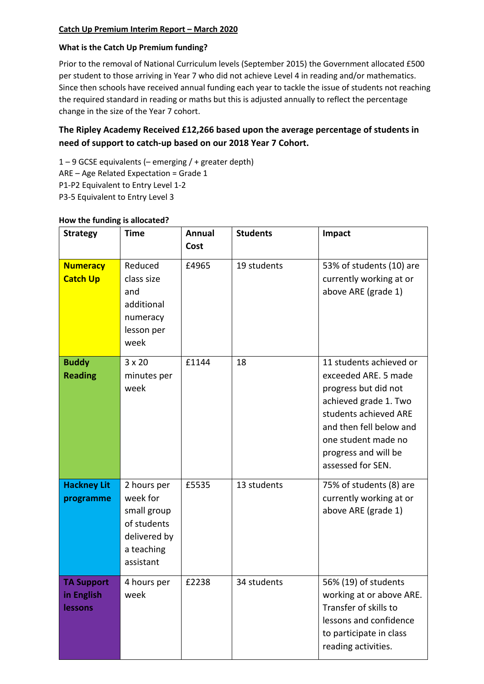#### **Catch Up Premium Interim Report – March 2020**

#### **What is the Catch Up Premium funding?**

Prior to the removal of National Curriculum levels (September 2015) the Government allocated £500 per student to those arriving in Year 7 who did not achieve Level 4 in reading and/or mathematics. Since then schools have received annual funding each year to tackle the issue of students not reaching the required standard in reading or maths but this is adjusted annually to reflect the percentage change in the size of the Year 7 cohort.

# **The Ripley Academy Received £12,266 based upon the average percentage of students in need of support to catch-up based on our 2018 Year 7 Cohort.**

1 – 9 GCSE equivalents (– emerging / + greater depth)

ARE – Age Related Expectation = Grade 1

- P1-P2 Equivalent to Entry Level 1-2
- P3-5 Equivalent to Entry Level 3

| <b>Strategy</b>                            | <b>Time</b>                                                                                      | <b>Annual</b><br>Cost | <b>Students</b> | Impact                                                                                                                                                                                                                   |
|--------------------------------------------|--------------------------------------------------------------------------------------------------|-----------------------|-----------------|--------------------------------------------------------------------------------------------------------------------------------------------------------------------------------------------------------------------------|
| <b>Numeracy</b><br><b>Catch Up</b>         | Reduced<br>class size<br>and<br>additional<br>numeracy<br>lesson per<br>week                     | £4965                 | 19 students     | 53% of students (10) are<br>currently working at or<br>above ARE (grade 1)                                                                                                                                               |
| <b>Buddy</b><br><b>Reading</b>             | $3 \times 20$<br>minutes per<br>week                                                             | £1144                 | 18              | 11 students achieved or<br>exceeded ARE. 5 made<br>progress but did not<br>achieved grade 1. Two<br>students achieved ARE<br>and then fell below and<br>one student made no<br>progress and will be<br>assessed for SEN. |
| <b>Hackney Lit</b><br>programme            | 2 hours per<br>week for<br>small group<br>of students<br>delivered by<br>a teaching<br>assistant | £5535                 | 13 students     | 75% of students (8) are<br>currently working at or<br>above ARE (grade 1)                                                                                                                                                |
| <b>TA Support</b><br>in English<br>lessons | 4 hours per<br>week                                                                              | £2238                 | 34 students     | 56% (19) of students<br>working at or above ARE.<br>Transfer of skills to<br>lessons and confidence<br>to participate in class<br>reading activities.                                                                    |

#### **How the funding is allocated?**